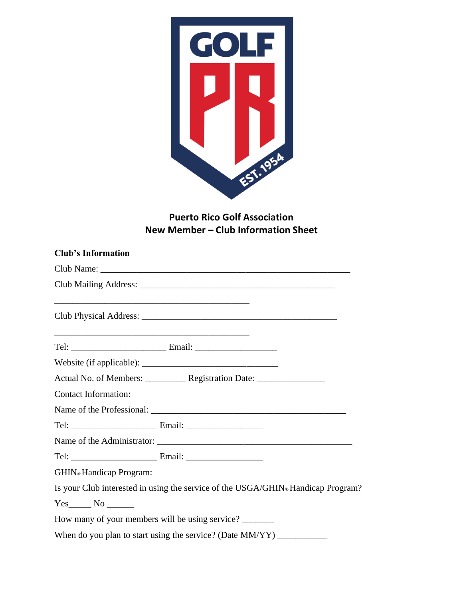

# **Puerto Rico Golf Association New Member – Club Information Sheet**

| <b>Club's Information</b>                                                                                            |                                                                                  |
|----------------------------------------------------------------------------------------------------------------------|----------------------------------------------------------------------------------|
|                                                                                                                      |                                                                                  |
|                                                                                                                      |                                                                                  |
| <u> Alexandro de la contrada de la contrada de la contrada de la contrada de la contrada de la contrada de la co</u> |                                                                                  |
|                                                                                                                      |                                                                                  |
|                                                                                                                      |                                                                                  |
|                                                                                                                      |                                                                                  |
| <b>Contact Information:</b>                                                                                          |                                                                                  |
|                                                                                                                      |                                                                                  |
|                                                                                                                      |                                                                                  |
|                                                                                                                      |                                                                                  |
|                                                                                                                      |                                                                                  |
| <b>GHIN</b> ® Handicap Program:                                                                                      |                                                                                  |
|                                                                                                                      | Is your Club interested in using the service of the USGA/GHIN® Handicap Program? |
|                                                                                                                      |                                                                                  |
|                                                                                                                      | How many of your members will be using service?                                  |
|                                                                                                                      | When do you plan to start using the service? (Date MM/YY) ____________           |